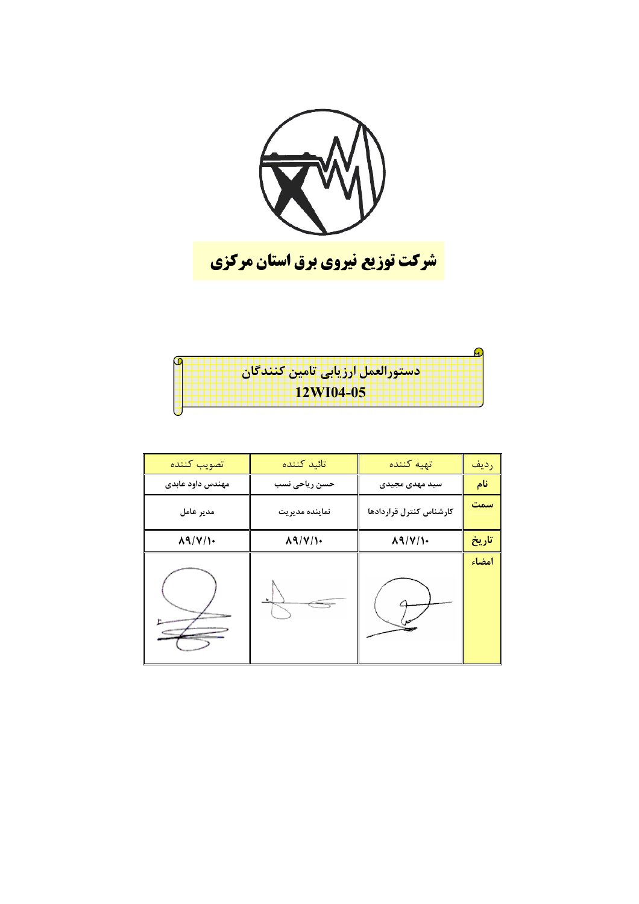

| ادستورالعمل ارزيابي تامين كنندكان |
|-----------------------------------|
|                                   |
| <b>12WI04-05</b>                  |
|                                   |

| تصويب كننده      | تائيد كننده      | تهيه كننده              | رديف  |
|------------------|------------------|-------------------------|-------|
| مهندس داود عابدى | حسن رياحي نسب    | سید مهدی مجیدی          | نام   |
| مدير عامل        | نماينده مديريت   | كارشناس كنترل قراردادها | سمت   |
| $\Lambda$ 9/ $V$ | $\Lambda$ 9/ $V$ | $\Lambda$ 9/ $V$        | تاريخ |
|                  |                  |                         | امضاء |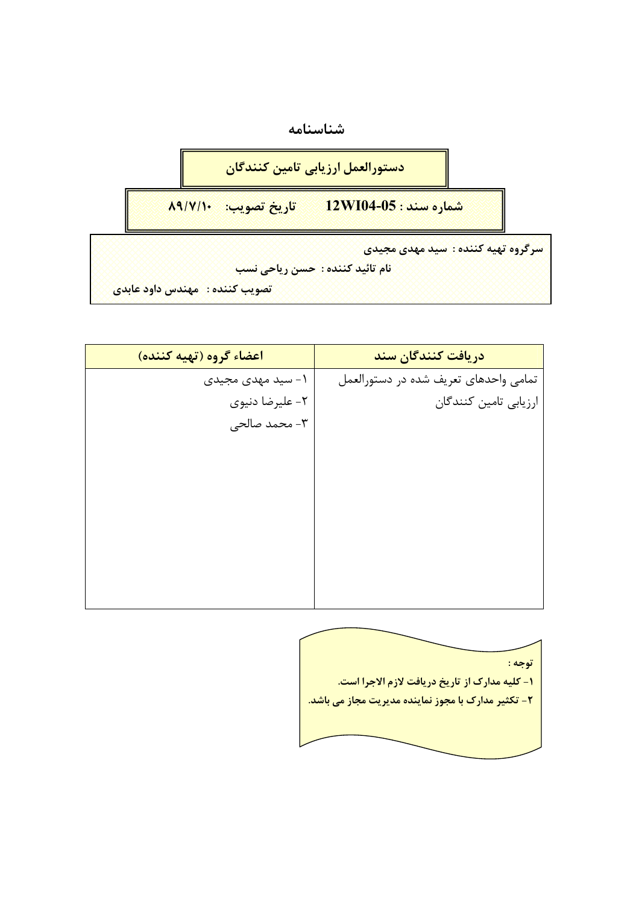



```
ا<mark>تصويب كننده : امهندس داود عابدي</mark>
```

| اعضاء گروه (تهيه كننده) | دریافت کنندگان سند                    |
|-------------------------|---------------------------------------|
| ۱- سید مهدی مجیدی       | تمامی واحدهای تعریف شده در دستورالعمل |
| ٢- عليرضا دنيوي         | ارزيابي تامين كنندگان                 |
| ۳- محمد صالحی           |                                       |
|                         |                                       |
|                         |                                       |
|                         |                                       |
|                         |                                       |
|                         |                                       |
|                         |                                       |
|                         |                                       |
|                         |                                       |

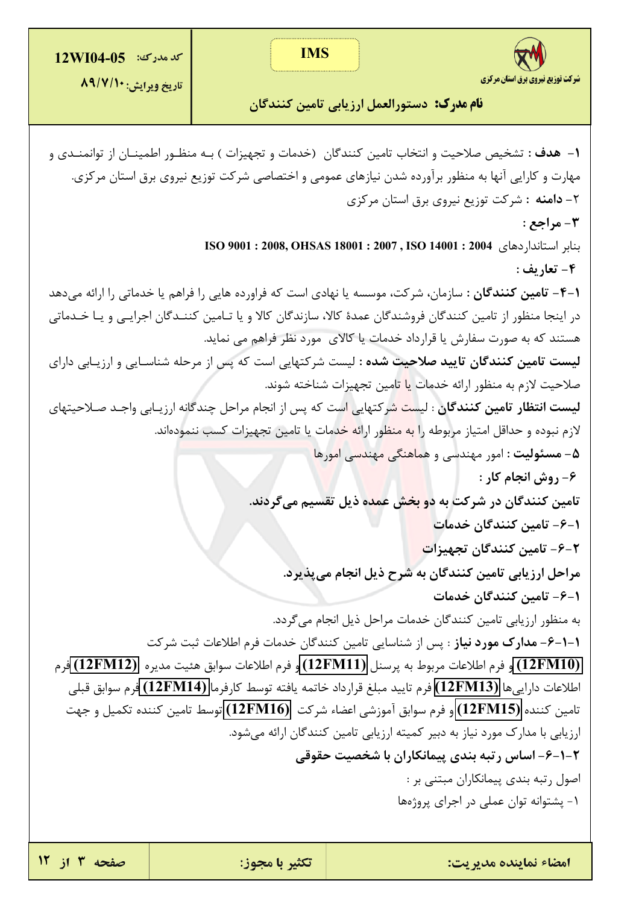

تاريخ ويرايش: ٨٩/٧/١٠

**نام مدرک:** دستورالعمل ارزیابی تامین کنندگان

**۱**– هدف : تشخيص صلاحيت و انتخاب تامين كنندگان (خدمات و تجهيزات ) بـه منظـور اطمينـان از توانمنـدي و مهارت و کارایی آنها به منظور برآورده شدن نیازهای عمومی و اختصاصی شرکت توزیع نیروی برق استان مرکزی. ۲- **دامنه :** شرکت توزیع نیروی برق استان مرکزی 3- مراجع : بنابر استاندار دهای 1404 ISO 9001 : 2008, OHSAS 18001 : 2007 , ISO 14001 : 2004 ۴- تعاريف : **۱-۴- تامین کنندگان** : سازمان، شرکت، موسسه یا نهادی است که فراورده هایی را فراهم یا خدماتی را ارائه میدهد در اینجا منظور از تامین کنندگان فروشندگان عمدهٔ کالا، سازندگان کالا و یا تـامین کننـدگان اجرایـی و یـا خـدماتی هستند که به صورت سفارش یا قرارداد خدمات یا کالای مورد نظر فراهم می نماید. **لیست تامین کنندگان تایید صلاحیت شده :** لیست شرکتهایی است که پس از مرحله شناسـایی و ارزیـابی دارای صلاحيت لازم به منظور ارائه خدمات ي<mark>ا ت</mark>امين تجهيزات شناخته شوند. **ليست انتظار تامين كنندگان** : ليس<mark>ت ش</mark>ركتهايي است كه پس از انجام مراحل چندگانه ارزيـابي واجـد صـلاحيتهاي لازم نبوده و حداقل امتیاز مربوطه را <mark>به منظو</mark>ر ارائ<mark>ه خ</mark>دمات یا تامین تجهیزات کسب ننمودهاند. ۵ – مسئولیت : امور مهندسی و هماهنگی مهندسی امورها ۶- روش انجام کار : تامین کنندگان در شرکت به د<mark>و بخ</mark>ش عمده ذیل تقسیم میگردند. ١–۶– تامین کنندگان خدمات ۲–۶– تامین کنندگان تجهیزا<mark>ت</mark> مراحل ارزيابي تامين كنندگان به شرح ذيل انجام مي پذيرد. 1–۶– تامین کنندگان خدمات به منظور ارزيابي تامين كنندگان خدمات مراحل ذيل انجام مي گردد. 1-1-۶- مدارك مورد نياز : پس از شناسايي تامين كنندگان خدمات فرم اطلاعات ثبت شركت (12FM10) و فرم اطلاعات مربوط به پرسنل (12FM11) و فرم اطلاعات سوابق هئيت مديره (12FM12) فرم اطلاعات دارايي ها (12FM13) فرم تاييد مبلغ قرارداد خاتمه يافته توسط كارفرما (12FM14) فرم سوابق قبلي تامین کننده (12FM15) و فرم سوابق آموزشی اعضاء شرکت (12FM16) توسط تامین کننده تکمیل و جهت ارزیابی با مدارک مورد نیاز به دبیر کمیته ارزیابی تامین کنندگان ارائه میشود. ۲-۱-۶- اساس رتبه بندی پیمانکاران با شخصیت حقوقی اصول رتبه بندی پیمانکاران مبتنی بر : ١- پشتوانه توان عملي در اجراي پروژهها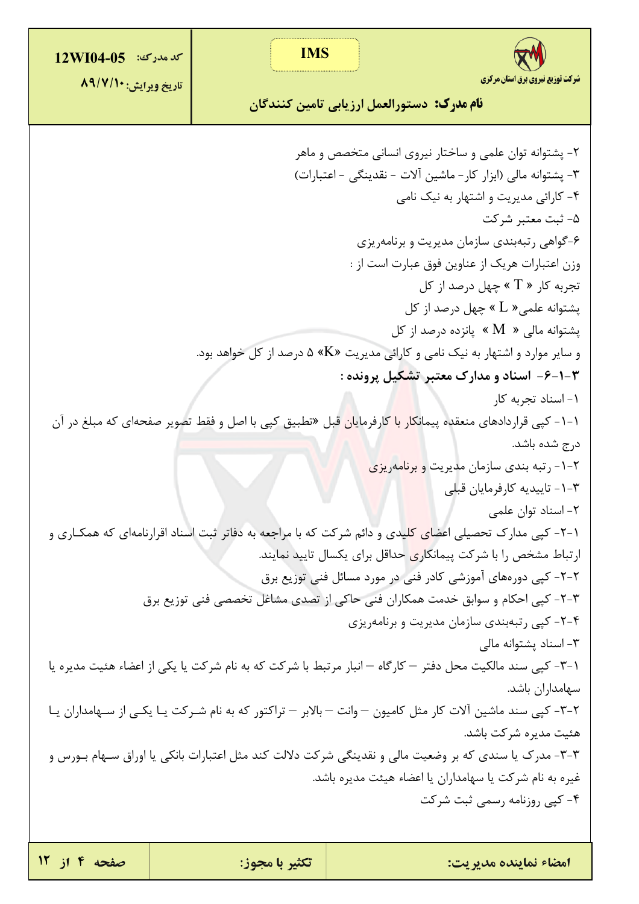| <b>كد مدرك: 12WI04-05</b>                                                                             | <b>IMS</b>     |                                                                                                                                          |  |  |  |
|-------------------------------------------------------------------------------------------------------|----------------|------------------------------------------------------------------------------------------------------------------------------------------|--|--|--|
| تاريخ ويرايش: ٨٩/٧/١٠                                                                                 |                | شرکت توزیع نیروی برق استان مرکزی<br><b>نام مدرک:</b> دستورالعمل ارزیابی تامین کنندگان                                                    |  |  |  |
|                                                                                                       |                | ۲- پشتوانه توان علمی و ساختار نیروی انسانی متخصص و ماهر<br>٣- پشتوانه مالي (ابزار كار - ماشين آلات - نقدينگي - اعتبارات)                 |  |  |  |
|                                                                                                       |                | ۴- کارائی مدیریت و اشتهار به نیک نامی                                                                                                    |  |  |  |
|                                                                                                       |                | ۵- ثبت معتبر شرکت                                                                                                                        |  |  |  |
|                                                                                                       |                | ۶-گواهی رتبهبندی سازمان مدیریت و برنامهریزی                                                                                              |  |  |  |
|                                                                                                       |                | وزن اعتبارات هريک از عناوين فوق عبارت است از :                                                                                           |  |  |  |
|                                                                                                       |                | تجربه کار « $\rm{T}$ » چهل درصد از کل                                                                                                    |  |  |  |
|                                                                                                       |                | پشتوانه علمی $\rm L$ » چهل درصد از کل                                                                                                    |  |  |  |
|                                                                                                       |                | پشتوانه مالی « $\rm M$ » پانزده درصد از کل                                                                                               |  |  |  |
|                                                                                                       |                | و سایر موارد و اشتهار به نیک نامی و کارائی مدیریت «K» ۵ درصد از کل خواهد بود.                                                            |  |  |  |
|                                                                                                       |                | <b>۳-۱-۶- اسناد و مدارک معتبر تشکیل پرونده :</b>                                                                                         |  |  |  |
| 1- اسناد تجربه کار                                                                                    |                |                                                                                                                                          |  |  |  |
|                                                                                                       |                | ۱-۱- کپی قراردادهای منعقده پیمان <mark>کار با کا</mark> رفرمایان قبل «تطبیق کپی با اصل و فقط تصویر صفحهای که مبلغ در آن<br>درج شده باشد. |  |  |  |
|                                                                                                       |                | ۲-۱- رتبه بندی سازمان مدیریت و برنامهریزی                                                                                                |  |  |  |
|                                                                                                       |                | ۳–۱– تاييديه كارفرمايان قبلي                                                                                                             |  |  |  |
|                                                                                                       |                | ۲- اسناد توان علمی                                                                                                                       |  |  |  |
|                                                                                                       |                | ۱-۲- کپی مدارک تحصیلی اعضا <mark>ی کلی</mark> دی و دائم شرکت که با مراجعه به دفاتر ثبت اسناد اقرارنامهای که همکـاری و                    |  |  |  |
|                                                                                                       |                | ارتباط مشخص را با شرکت پیمانگاری حداقل برای یکسال تایید نمایند.                                                                          |  |  |  |
|                                                                                                       |                | ۲-۲- کپی دورههای آموزشی کادر فنی در مورد مسائل فنی توزیع برق                                                                             |  |  |  |
|                                                                                                       |                | ۳-۲- کپی احکام و سوابق خدمت همکاران فنی حاکی از تصدی مشاغل تخصصی فنی توزیع برق                                                           |  |  |  |
|                                                                                                       |                | ۴-۲- کپی رتبهبندی سازمان مدیریت و برنامهریزی                                                                                             |  |  |  |
|                                                                                                       |                | ۳- اسناد پشتوانه مالی                                                                                                                    |  |  |  |
|                                                                                                       |                | ۱–۳– کپی سند مالکیت محل دفتر – کارگاه – انبار مرتبط با شرکت که به نام شرکت یا یکی از اعضاء هئیت مدیره یا                                 |  |  |  |
|                                                                                                       |                | سهامداران باشد.                                                                                                                          |  |  |  |
|                                                                                                       |                | ۲–۳– کپی سند ماشین آلات کار مثل کامیون — وانت — بالابر — تراکتور که به نام شـرکت یـا یکـی از سـهامداران یـا                              |  |  |  |
| هئيت مديره شركت باشد.                                                                                 |                |                                                                                                                                          |  |  |  |
| ۳-۳- مدرک یا سندی که بر وضعیت مالی و نقدینگی شرکت دلالت کند مثل اعتبارات بانکی یا اوراق سـهام بـورس و |                |                                                                                                                                          |  |  |  |
| غیره به نام شرکت یا سهامداران یا اعضاء هیئت مدیره باشد.                                               |                |                                                                                                                                          |  |  |  |
| ۴- کپی روزنامه رسمی ثبت شرکت                                                                          |                |                                                                                                                                          |  |  |  |
|                                                                                                       |                |                                                                                                                                          |  |  |  |
| صفحه ۴ از ۱۲                                                                                          | تكثير با مجوز: | امضاء نماينده مديريت:                                                                                                                    |  |  |  |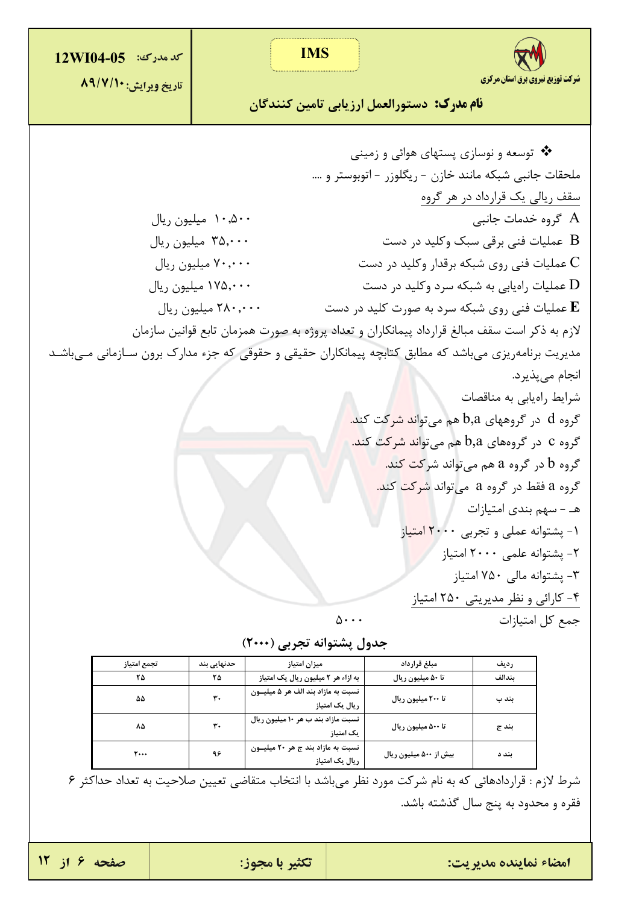**IMS كد مدرك: 12WI04-05** شرکت توزیع نیروی برق استان مرکزی تاريخ ويرايش: ٨٩/٧/١٠ **نام مدرک:** دستورالعمل ارزیابی تامین کنندگان \*\* توسعه و نوسازی پستهای هوائی و زمینی ملحقات جانبي شبكه مانند خازن - ريگلوزر - اتوبوستر و …. سقف ریالی یک قرارداد در هر گروه  $A$  گروہ خدمات جانبے ۰۰۵۰۰ میلیون ریال عملیات فنی برقی سبک وکلید در دست  $\rm\,B$ ۳۵٫۰۰۰ میلیون ریال  $\mathcal{V}$ ۲۰٫۰۰۰ میلیون ریال عملیات فنی روی شبکه برقدار وکلید در دست  $\rm C$ عملیات راهیابی به شبکه سرد وکلید در دست  ${\rm D}$ ۱۷۵٫۰۰۰ میلیون ریال ٢٨٠,٠٠٠ ميليون ريال عملیات فنی روی شبکه سرد به صورت کلید در دست  ${\bf E}$ لازم به ذکر است سقف مبالغ قرارداد پیمانکاران و تعداد پروژه به صورت همزمان تابع قوانین سازمان مدیریت برنامهریزی میباشد که مطابق کتابچه پیمانکاران حقیقی و حقوقی که جزء مدارک برون سـازمانی مـیباشـد انجام ميپذيرد. شرایط راهیابی به مناقصات گروه d در گروههای b,a هم میتوان<mark>د شر</mark>کت کند. گروه C در گروههای b,a هم میتواند شرکت کند. گروه b در گروه a هم می تواند شرکت کند. گروه a فقط در گروه a میتواند <mark>شرکت</mark> کند. هـ - سهم بندى امتيازات ١- پشتوانه عملی و تجربی ٢٠٠٠ امتیاز ٢- پشتوانه علمي ٢٠٠٠ امتياز ۳- پشتوانه مال<sub>ی</sub> ۷۵۰ امتیاز ۴- کارائی و نظر مدیریتی ۲۵۰ امتیاز  $\Delta \cdot \cdot \cdot$ جمع كل امتيازات

| جدول پشتوانه تجربی (۲۰۰۰) |  |
|---------------------------|--|
|---------------------------|--|

| تجمع امتياز | حدنهایی بند | ميزان امتياز                                         | مبلغ قرارداد           | رديف   |
|-------------|-------------|------------------------------------------------------|------------------------|--------|
| ۲۵          | ۲۵          | به ازاء هر ۲ میلیون ریال یک امتیاز                   | تا ۵۰ میلیون ریال      | ىندالف |
| ۵۵          | ٣.          | نسبت به مازاد بند الف هر ۵ میلیـون<br>ریال یک امتیاز | تا ٢٠٠ ميليون ريال     | بند ب  |
| ۸۵          | ٣٠          | نسبت مازاد بند ب هر ١٠ ميليون ريال<br>یک امتیاز      | تا ۵۰۰ میلیون ریال     | بند ج  |
| ۲۰۰۰        | ۹۶          | نسبت به مازاد بند ج هر ۲۰ میلیون<br>ریال یک امتیاز   | بیش از ۵۰۰ میلیون ریال | بند د  |

شرط لازم : قراردادهائي كه به نام شركت مورد نظر ميباشد با انتخاب متقاضي تعيين صلاحيت به تعداد حداكثر ۶ فقره و محدود به پنج سال گذشته باشد.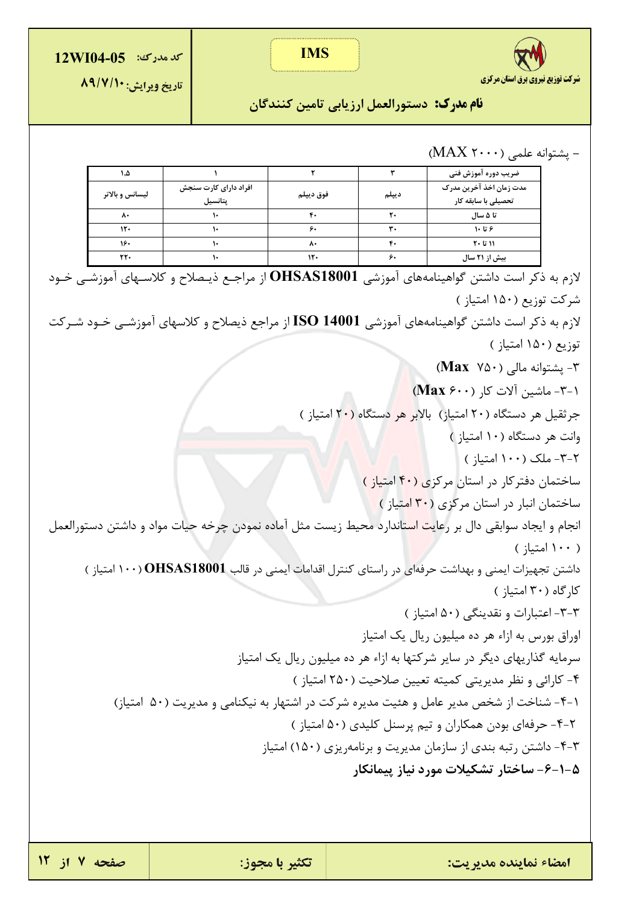

**IMS** 

**كد مدرك: 12WI04-05** 

تاريخ ويرايش: ٨٩/٧/١٠

**نام مدرک:** دستورالعمل ارزیابی تامین کنندگان

- پشتوانه علمي (۲۰۰۰ MAX)

| ۱,۵             |                                  |           |       | ضريب دوره آموزش فنى                            |
|-----------------|----------------------------------|-----------|-------|------------------------------------------------|
| ليسانس و بالاتر | افراد دارای کارت سنجش<br>پتانسیل | فوق دييلم | ديپلم | مدت زمان اخذ آخرین مدرک<br>تحصیلی با سابقه کار |
| ۸۰              |                                  | ۴٠        | ٢٠    | تا ۵ سال                                       |
| 15.             |                                  | ۶.        | ٣٠    | ۶ تا ۱۰                                        |
| ۱۶۰             |                                  | ۸۰        | ۴٠    | ۱۱ تا ۲۰                                       |
| ٢٢٠             |                                  | ۱۲۰       | ۶.    | بیش از ۲۱ سال                                  |

ر.<br>ازم به ذکر است داشتن گواهینامههای آموزشی **OHSAS18001** از مراجـع ذیـصلاح و کلاسـهای آموزشـی خـود **C** شركت توزيع (١۵٠ امتياز ) لازم به ذکر است داشتن گواهینامههای آموزشی ISO 14001 از مراجع ذیصلاح و کلاسهای آموزشــی خــود شــرکت

توزيع (١۵٠ امتياز )

٣- پشتوانه مالي (Max Y۵۰)

٣-١- ماشين آلات كا, (Max ۶۰۰)

جرثقیل هر دستگاه (۲۰ امتیاز) بالابر هر دستگاه (۲۰ امتیاز )

وانت هر دستگاه (١٠ امتياز)

۲-۳- ملک (۱۰۰ امتیاز ) ساختمان دفتر کار در استان مرکزی (۴۰ امتیاز )

ساختمان انبار در استان مرکزی (<mark>۳۰ ام</mark>تیاز )

انجام و ایجاد سوابقی دال بر رعای<mark>ت است</mark>اندارد محیط زیست مثل آماده نمودن چرخه حیات مواد و داشتن دستورالعمل  $( \cdot )$  امتىا $( \cdot )$ 

داشتن تجهیزات ایمنی و بهداشت حرفهای در راستای کنترل اقدامات ایمنی در قالب OHSAS18001 (۱۰۰ امتیاز )

کارگاه (۳۰ امتیاز ) ٣-٣- اعتبارات و نقدینگی (۵۰ امتیاز) اوراق بورس به ازاء هر ده میلیون ریال یک امتیاز

سرمایه گذاریهای دیگر در سایر شرکتها به ازاء هر ده میلیون ریال یک امتیاز ۴- کارائی و نظر مدیریتی کمیته تعیین صلاحیت (۲۵۰ امتیاز)

۰۱–۴ شناخت از شخص مدیر عامل و هئیت مدیره شرکت در اشتهار به نیکنامی و مدیریت (۵۰ امتیاز)

٢-۴- حرفهای بودن همکاران و تیم پرسنل کلیدی (۵۰ امتیاز)

۴-۳- داشتن رتبه بندی از سازمان مدیریت و برنامهریزی (۱۵۰) امتیاز

۵-۱-۶- ساختار تشکیلات مورد نیاز پیمانکار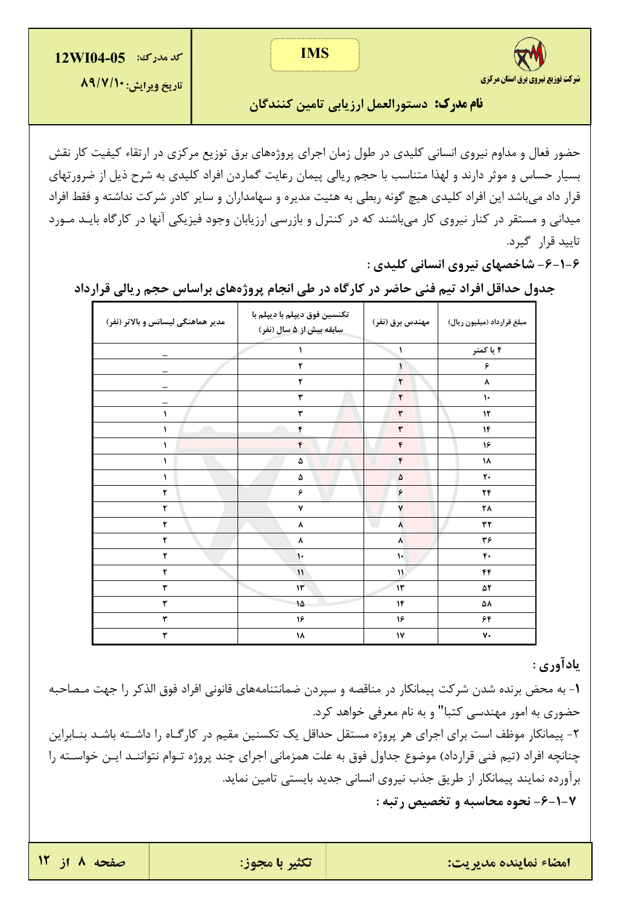



**نام مدرک:** دستورالعمل ارزیابی تامین کنندگان

حضور فعال و مداوم نیروی انسانی کلیدی در طول زمان اجرای پروژههای برق توزیع مرکزی در ارتقاء کیفیت کار نقش بسیار حساس و موثر دارند و لهذا متناسب با حجم ریالی پیمان رعایت گماردن افراد کلیدی به شرح ذیل از ضرورتهای قرار داد میباشد این افراد کلیدی هیچ گونه ربطی به هئیت مدیره و سهامداران و سایر کادر شرکت نداشته و فقط افراد میدانی و مستقر در کنار نیروی کار میباشند که در کنترل و بازرسی ارزیابان وجود فیزیکی آنها در کارگاه بایـد مـورد تاييد قرار گيرد.

۶-۱-۶- شاخصهای نیروی انسانی کلیدی :

| مدیر هماهنگی لیسانس و بالاتر (نفر) | تكنسين فوق ديپلم با ديپلم با<br>سابقه بیش از ۵ سال (نفر) | مهندس برق (نفر)         | مبلغ قرارداد (میلیون ریال) |
|------------------------------------|----------------------------------------------------------|-------------------------|----------------------------|
|                                    | $\mathbf{L}$                                             | $\lambda$               | ۴ یا کمتر                  |
|                                    | ۲                                                        |                         | ۶                          |
|                                    | ٢                                                        | ٢                       | ٨                          |
|                                    | ٣                                                        | ٢                       | $\mathcal{L}$              |
|                                    | ٣                                                        | ٣                       | $\mathcal{N}$              |
|                                    | ۴                                                        | ٣                       | ۱۴                         |
| ١                                  | ۴                                                        | ۴                       | ۱۶                         |
|                                    | ۵                                                        | ۴                       | ۱۸                         |
| $\mathbf{L}$                       | ۵                                                        | ۵                       | $\mathbf{r}$               |
| ۲                                  | ۶                                                        | ۶                       | $\mathbf{Y}\mathbf{f}$     |
| ٢                                  | ٧                                                        | ٧                       | ۲۸                         |
| ۲                                  | ٨                                                        | u<br>٨                  | ٣٢                         |
| ۲                                  | ۸                                                        | ۸                       | ٣۶                         |
| $\pmb{\mathsf{Y}}$                 | $\mathsf{L}$                                             | $\mathcal{V}^{\dagger}$ | $f$ .                      |
| ۲                                  | $\mathcal{V}$                                            | $\mathcal{V}$           | ۴۴                         |
| ٣                                  | $\mathcal{W}$                                            | $\mathcal{W}$           | 52                         |
| ٣                                  | ١۵                                                       | ۱۴                      | ۵۸                         |
| $\pmb{\mathsf{y}}$                 | ۱۶                                                       | ۱۶                      | ۶۴                         |
| ٣                                  | ۱۸                                                       | ${\mathsf Y}$           | ٧٠                         |

جدول حداقل افراد تیم فنی حاضر در کارگاه در طی انجام پروژههای براساس حجم ریالی قرارداد

## يادآوري :

1- به محض برنده شدن شركت پیمانكار در مناقصه و سپردن ضمانتنامههای قانونی افراد فوق الذكر را جهت مـصاحبه حضوري به امور مهندسي كتبا" و به نام معرفي خواهد كرد. ۲- پیمانکار موظف است برای اجرای هر پروژه مستقل حداقل یک تکسنین مقیم در کارگـاه را داشــته باشــد بنــابراین چنانچه افراد (تیم فنی قرارداد) موضوع جداول فوق به علت همزمانی اجرای چند پروژه تـوام نتواننـد ایـن خواسـته را برآورده نمایند پیمانکار از طریق جذب نیروی انسانی جدید بایستی تامین نماید. ۷-۱-۶- نحوه محاسبه و تخصیص رتبه :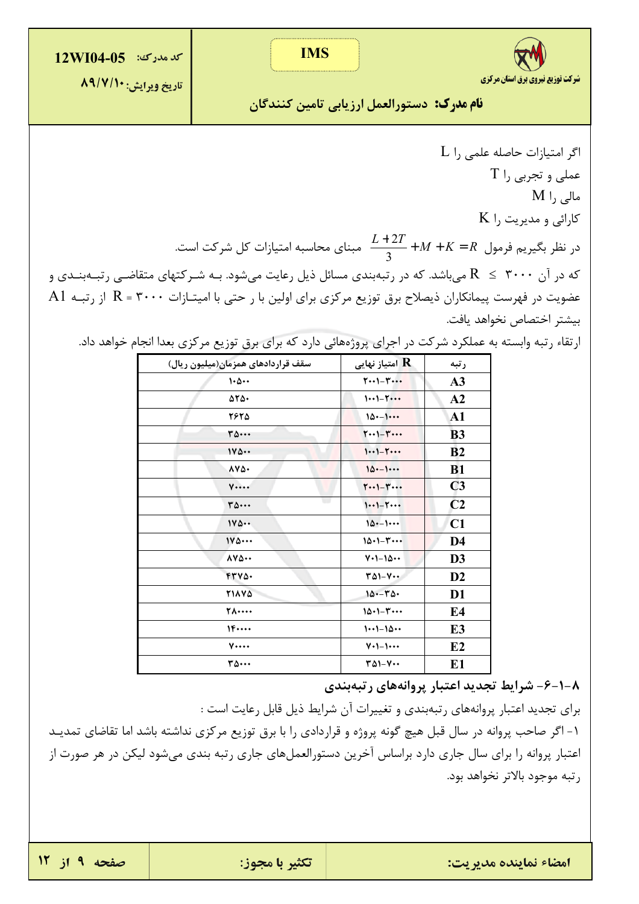**IMS** 





تاريخ ويرايش: ٨٩/٧/١٠

<mark>نام مدرک: دستورالعمل ارزیابی تامین کنندگان</mark>

 $L$  اگر امتیازات حاصله علمی را  $T$  عملي و تجربي را  $M$  |, مالی  $K$  کارائی و مدیریت را در نظر بگیریم فرمول  $K = R + M + K = \frac{L+2T}{3} + M + K = R$  مبنای محاسبه امتیازات کل شرکت است. که در آن ۳۰۰۰  $R \leq R$  می باشد. که در رتبهبندی مسائل ذیل رعایت می شود. بـه شـر کتهای متقاضـی رتبـهبنـدی و A1 مضویت در فهرست پیمانکاران ذیصلاح برق توزیع مرکزی برای اولین با ر حتی با امیتـازات  $\rm R$  = ۳۰۰۰ گاز رتبـه بيشتر اختصاص نخواهد يافت.

| ارتقاء رتبه وابسته به عملکرد شرکت در اجرای پروژههائی دارد که برای برق توزیع مرکزی بعدا انجام خواهد داد. |  |  |  |  |  |
|---------------------------------------------------------------------------------------------------------|--|--|--|--|--|
|---------------------------------------------------------------------------------------------------------|--|--|--|--|--|

| سقف قراردادهای همزمان(میلیون ریال) | امتياز نهايى ${\bf R}$                                             | رتبه           |
|------------------------------------|--------------------------------------------------------------------|----------------|
| $\cdot \Delta \cdot \cdot$         | $T \cdot \cdot 1 - T \cdot \cdot \cdot$                            | A <sub>3</sub> |
| $\Delta \Upsilon \Delta$ .         | $11 - 1$                                                           | A2             |
| 7875                               | $10 - 1$                                                           | $\mathbf{A1}$  |
| ۳۵۰۰۰                              | $\mathbf{Y} \cdot \cdot \mathbf{I} - \mathbf{Y} \cdot \cdot \cdot$ | <b>B3</b>      |
| 140                                | $11 - 1$                                                           | B <sub>2</sub> |
| 172.                               | $10--1$                                                            | <b>B1</b>      |
| $V \cdots$                         | $T(-1) - T(-1)$                                                    | C <sub>3</sub> |
| w<br>۳۵٠٠۰                         | $11 - 1$                                                           | C <sub>2</sub> |
| 140                                | $10--1$                                                            | C1             |
| $1Y\Delta \cdots$                  | $10.1 - 1.1$                                                       | D <sub>4</sub> |
| $\lambda V \Delta \cdots$          | $V - 10 -$                                                         | D <sub>3</sub> |
| FTVA.                              | $\mathsf{r}_{\Delta 1-\mathsf{V}}\cdots$                           | D2             |
| <b>TIAVA</b>                       | $10 - 50$                                                          | D <sub>1</sub> |
| <b>TA</b>                          | $10.1 - 7$                                                         | E <sub>4</sub> |
| 1F                                 | $1 - 1 - 10 - 1$                                                   | E <sub>3</sub> |
| $V \cdots$                         | $V \cdot 1 - 1 \cdots$                                             | E2             |
| ۳۵٠٠٠                              | $T\Delta 1 - V \cdots$                                             | E <sub>1</sub> |

۸–۱–۶– شرایط تجدید اعتبار پروانههای رتبهبندی

برای تجدید اعتبار پروانههای رتبهبندی و تغییرات آن شرایط ذیل قابل رعایت است :

١- اگر صاحب پروانه در سال قبل هیچ گونه پروژه و قراردادی را با برق توزیع مرکزی نداشته باشد اما تقاضای تمدیـد اعتبار پروانه را برای سال جاری دارد براساس آخرین دستورالعملهای جاری رتبه بندی میشود لیکن در هر صورت از رتبه موجود بالاتر نخواهد بود.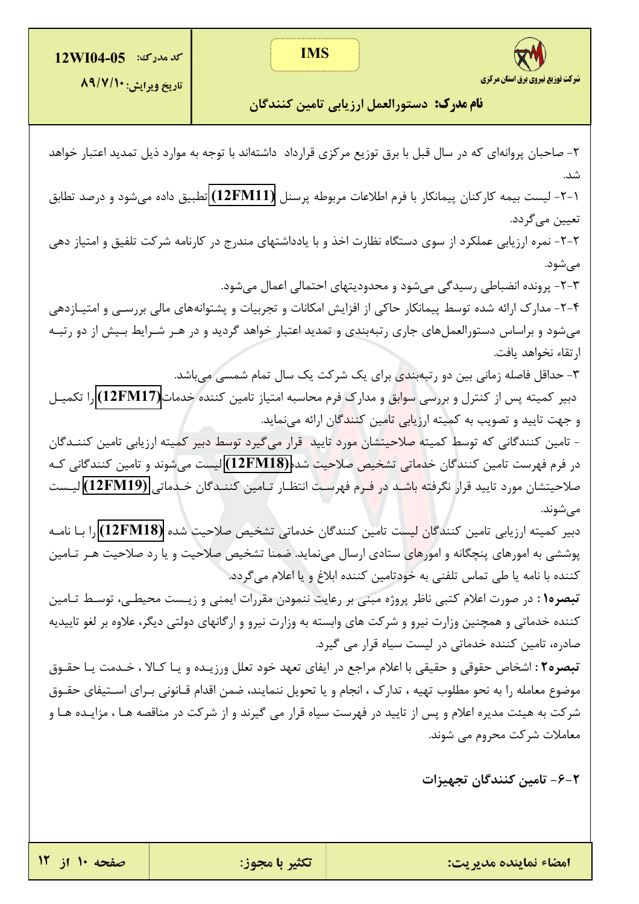



**نام مدرک:** دستورالعمل ارزیابی تامین کنندگان

۲- صاحبان پروانهای که در سال قبل با برق توزیع مرکزی قرارداد داشتهاند با توجه به موارد ذیل تمدید اعتبار خواهد شد. ۱-۲- لیست بیمه کارکنان پیمانکار با فرم اطلاعات مربوطه پرسنل (12FM11) تطبیق داده می شود و درصد تطابق تعيين مي گردد. ۲-۲- نمره ارزیابی عملکرد از سوی دستگاه نظارت اخذ و با یادداشتهای مندرج در کارنامه شرکت تلفیق و امتیاز دهی مے شود. ٣-٢- پرونده انضباطی رسیدگی می شود و محدودیتهای احتمالی اعمال می شود. ۴-۲- مدارک ارائه شده توسط پیمانکار حاکی از افزایش امکانات و تجربیات و پشتوانههای مالی بررسـی و امتیـازدهی می شود و براساس دستورالعمل های جاری رتبهبندی و تمدید اعتبار خواهد گردید و در هـر شـرایط بـیش از دو رتبـه ارتقاء نخواهد يافت. ۳- حداقل فاصله زمانی بین دو رتبهبند<mark>ی</mark> برای یک شرکت یک سال تمام شمسی میباشد. دبیر کمیته پس از کنترل و بررسی س<mark>وابق</mark> و مدارک فرم محاسبه امتیاز تامین کننده خدمات(12FM17) را تکمیـل و جهت تایید و تصویب به کمیته ارزی<mark>ابی تام</mark>ین کنن<mark>د</mark>گان ارائه مینماید. - تامین کنندگانی که توسط کمیته <mark>صلاحیتشان مورد</mark> تایید قرار میگیرد توسط دبیر کمیته ارزیابی تامین کننــدگان در فرم فهرست تامین کنندگان خد<mark>ماتی تشخیص صلاحیت</mark> شده(12FM18) لیست می شوند و تامین کنندگانی کـه صلاحيتشان مورد تاييد قرار نگرفته باشـد د<mark>ر فـر</mark>م فهرسـت انتظـار تـامين كننـدگان خـدماتي (12FM19) ليـست مے شوند. دبیر کمیته ارزیابی تامین کنندگا<mark>ن لیس</mark>ت تامین کنندگان خدماتی تشخیص صلاحیت شده (12FM18) را بـا نامــه پوششی به امورهای پنچگانه و امورهای ستادی ارسال مینماید. ضمنا تشخیص صلاحیت و یا رد صلاحیت هـر تـامین كننده با نامه يا طي تماس تلفني به خودتامين كننده ابلاغ و يا اعلام مي گردد. تبصره۱: در صورت اعلام کتبی ناظر پروژه مبنی بر رعایت ننمودن مقررات ایمنی و زیـست محیطـی، توسـط تـامین کننده خدماتی و همچنین وزارت نیرو و شرکت های وابسته به وزارت نیرو و ارگانهای دولتی دیگر، علاوه بر لغو تاییدیه صادره، تامین کننده خدماتی در لیست سیاه قرار می گیرد. تبصره۲ : اشخاص حقوقی و حقیقی با اعلام مراجع در ایفای تعهد خود تعلل ورزیـده و یـا کـالا ، خـدمت یـا حقـوق موضوع معامله را به نحو مطلوب تهيه ، تدارك ، انجام و يا تحويل ننمايند، ضمن اقدام قـانوني بـراي اسـتيفاي حقــوق شرکت به هیئت مدیره اعلام و پس از تایید در فهرست سیاه قرار می گیرند و از شرکت در مناقصه هـا ، مزایــده هـا و معاملات شرکت محروم می شوند.

۲–۶– تامین کنندگان تجهیزات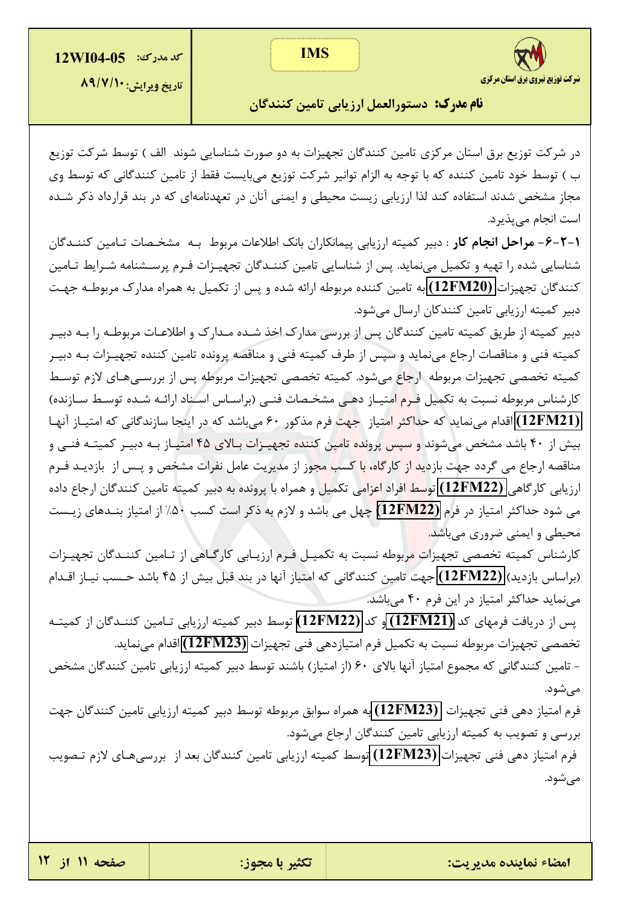**IMS** 



تاريخ ويرايش: ٨٩/٧/١٠

**نام مدرک:** دستورالعمل ارزیابی تامین کنندگان

در شرکت توزیع برق استان مرکزی تامین کنندگان تجهیزات به دو صورت شناسایی شوند الف ) توسط شرکت توزیع ب ) توسط خود تامین کننده که با توجه به الزام توانیر شرکت توزیع میبایست فقط از تامین کنندگانی که توسط وی مجاز مشخص شدند استفاده کند لذا ارزیابی زیست محیطی و ایمنی آنان در تعهدنامهای که در بند قرارداد ذکر شـده است انجام مي پذيرد.

**۱-۲-۶- مراحل انجام کار** : دبیر کمیته ارزیابی پیمانکاران بانک اطلاعات مربوط بـه مشخـصات تـامین کننـدگان شناسایی شده را تهیه و تکمیل می،نماید. پس از شناسایی تامین کننـدگان تجهیـزات فـرم پرسـشنامه شـرایط تـامین کنندگان تجهیزات (12FM20) به تامین کننده مربوطه ارائه شده و پس از تکمیل به همراه مدارک مربوطـه جهـت دبیر کمیته ارزیابی تامین کنندکان ارسال میشود.

دبیر کمیته از طریق کمیته تامین کنندگان پس از بررسی مدارک اخذ شـده مـدارک و اطلاعـات مربوطـه را بـه دبیـر كميته فني و مناقصات ارجاع مي نمايد و سپس از طرف كميته فني و مناقصه پرونده تامين كننده تجهيـزات بـه دبيـر كميته تخصصي تجهيزات مربوطه ارجاع مىشود. كميته تخصصي تجهيزات مربوطه پس از بررسـىهـاى لازم توسـط کارشناس مربوطه نسبت به تکمیل فـر<mark>م ام</mark>تیـاز دهـی مشخـصات فنـی (براسـاس اسـناد ارائـه شـده توسـط سـازنده) (12FM21) اقدام می نماید که حداکثر امتیاز جهت فرم مذکور ۶۰ می باشد که در اینجا سازندگانی که امتیـاز آنهـا بیش از ۴۰ باشد مشخص می شوند و <mark>سپس پرونده تامین کننده تجهیـزات بـالای ۴۵ امتیـاز بـه دبیـر کمیتـه فنـی و</mark> مناقصه ارجاع می گردد جهت بازدید از کارگاه، با کسب مجوز از مدیریت عامل نفرات مشخص و پـس از بازدیـد فـرم ارزيابي كارگاهي **(12FM22)** ت<mark>وسط افراد اعزام</mark>ي تكميل و همراه با پرونده به دبير كميته تامين كنندگان ارجاع داده می شود حداکثر امتیاز در فرم (12FM22) چهل می باشد و لازم به ذکر است کسب ۵۰٪ از امتیاز بنــدهای زیــست محیطی و ایمنی ضروری میباشد<mark>.</mark>

کارشناس کمیته تخصصی تجهیزا<mark>ت م</mark>ربوطه نسبت به تکمیـل فـرم ارزیـابی کارگـاهی از تـامین کننـدگان تجهیـزات (براساس بازدید) (12FM22) جهت تامین کنندگانی که امتیاز آنها در بند قبل بیش از ۴۵ باشد حسب نیـاز اقـدام می نماید حداکثر امتیاز در این فرم ۴۰ می باشد.

پس از دریافت فرمهای کد (12FM21) و کد (12FM22) توسط دبیر کمیته ارزیابی تـامین کننـدگان از کمیتـه تخصصي تجهيزات مربوطه نسبت به تكميل فرم امتيازدهي فني تجهيزات (12FM23) اقدام مينمايد.

- تامین کنندگانی که مجموع امتیاز آنها بالای ۶۰ (از امتیاز) باشند توسط دبیر کمیته ارزیابی تامین کنندگان مشخص مے شود.

فرم امتياز دهي فني تجهيزات (12FM23) به همراه سوابق مربوطه توسط دبير كميته ارزيابي تامين كنندگان جهت بررسی و تصویب به کمیته ارزیابی تامین کنندگان ارجاع می شود.

فرم امتیاز دهی فنی تجهیزات (12FM23) توسط کمیته ارزیابی تامین کنندگان بعد از بررسیهای لازم تـصویب مي شود.